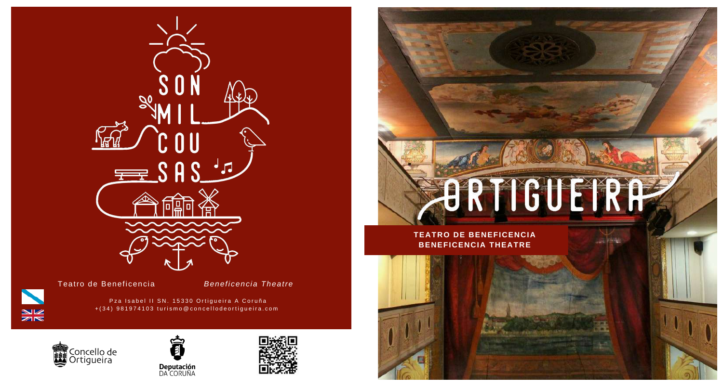

Teatro de Beneficencia

*Beneficencia Theatre*

Pza Isabel II SN. 15330 Ortigueira A Coruña +(34) 981974103 turismo@concellodeortigueira.com



 $rac{N}{N}$ 







**TEATRO DE BENEFICENCIA BENEFICENCIA THEATRE**